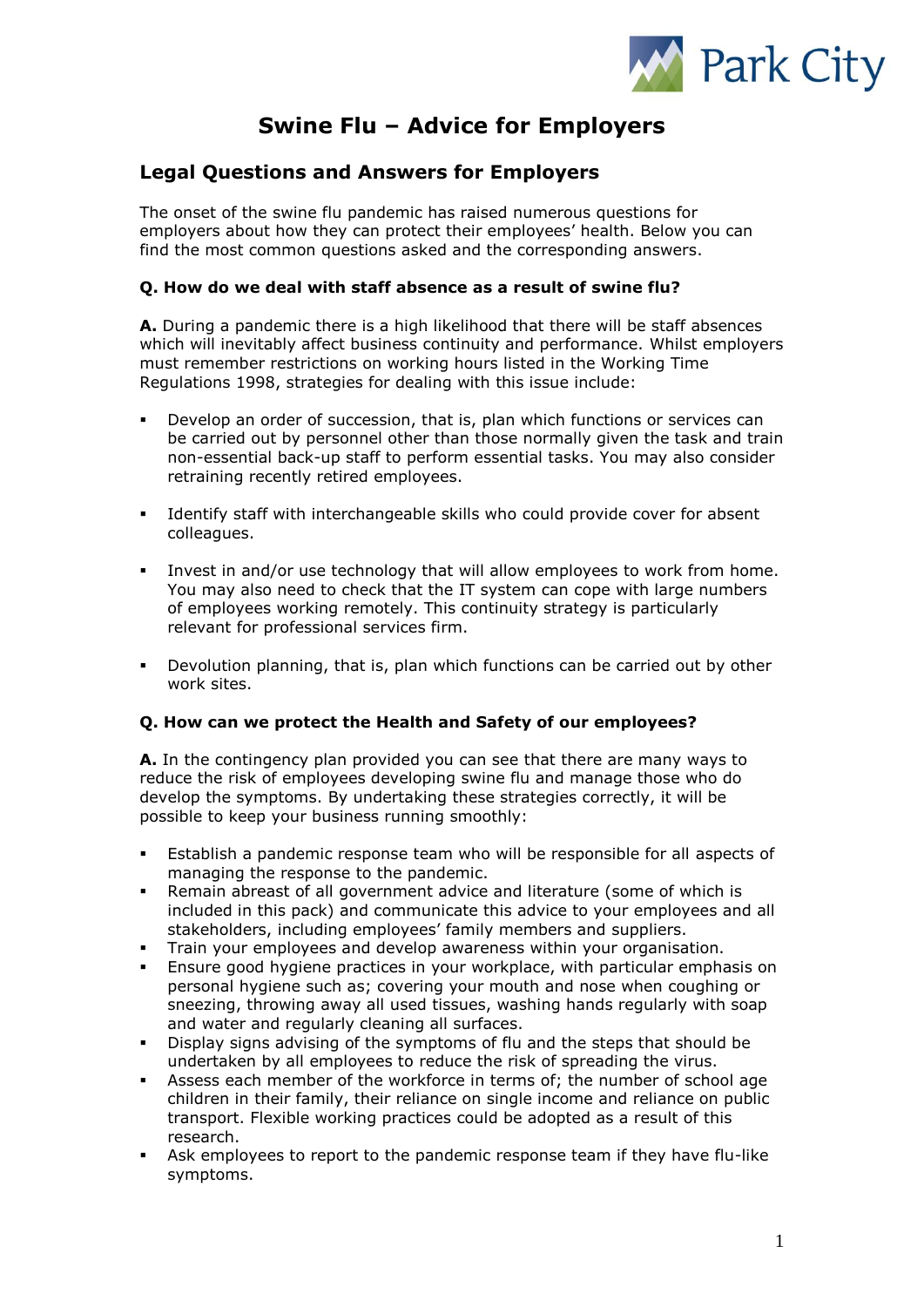

# **Swine Flu – Advice for Employers**

## **Legal Questions and Answers for Employers**

The onset of the swine flu pandemic has raised numerous questions for employers about how they can protect their employees' health. Below you can find the most common questions asked and the corresponding answers.

#### **Q. How do we deal with staff absence as a result of swine flu?**

**A.** During a pandemic there is a high likelihood that there will be staff absences which will inevitably affect business continuity and performance. Whilst employers must remember restrictions on working hours listed in the Working Time Regulations 1998, strategies for dealing with this issue include:

- Develop an order of succession, that is, plan which functions or services can be carried out by personnel other than those normally given the task and train non-essential back-up staff to perform essential tasks. You may also consider retraining recently retired employees.
- Identify staff with interchangeable skills who could provide cover for absent colleagues.
- Invest in and/or use technology that will allow employees to work from home. You may also need to check that the IT system can cope with large numbers of employees working remotely. This continuity strategy is particularly relevant for professional services firm.
- Devolution planning, that is, plan which functions can be carried out by other work sites.

#### **Q. How can we protect the Health and Safety of our employees?**

**A.** In the contingency plan provided you can see that there are many ways to reduce the risk of employees developing swine flu and manage those who do develop the symptoms. By undertaking these strategies correctly, it will be possible to keep your business running smoothly:

- Establish a pandemic response team who will be responsible for all aspects of managing the response to the pandemic.
- Remain abreast of all government advice and literature (some of which is included in this pack) and communicate this advice to your employees and all stakeholders, including employees' family members and suppliers.
- Train your employees and develop awareness within your organisation.
- Ensure good hygiene practices in your workplace, with particular emphasis on personal hygiene such as; covering your mouth and nose when coughing or sneezing, throwing away all used tissues, washing hands regularly with soap and water and regularly cleaning all surfaces.
- Display signs advising of the symptoms of flu and the steps that should be undertaken by all employees to reduce the risk of spreading the virus.
- Assess each member of the workforce in terms of; the number of school age children in their family, their reliance on single income and reliance on public transport. Flexible working practices could be adopted as a result of this research.
- Ask employees to report to the pandemic response team if they have flu-like symptoms.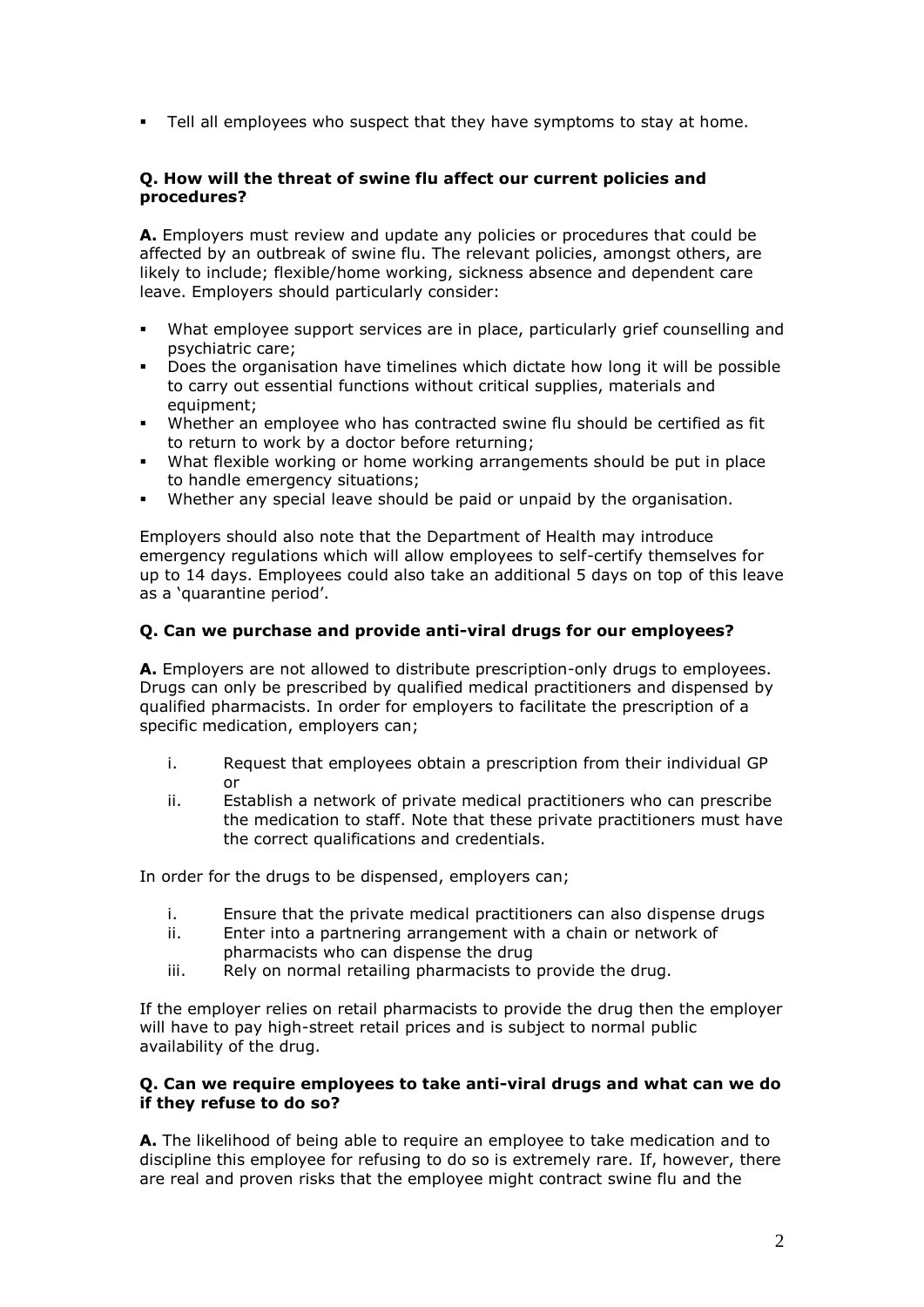Tell all employees who suspect that they have symptoms to stay at home.

#### **Q. How will the threat of swine flu affect our current policies and procedures?**

**A.** Employers must review and update any policies or procedures that could be affected by an outbreak of swine flu. The relevant policies, amongst others, are likely to include; flexible/home working, sickness absence and dependent care leave. Employers should particularly consider:

- What employee support services are in place, particularly grief counselling and psychiatric care;
- Does the organisation have timelines which dictate how long it will be possible to carry out essential functions without critical supplies, materials and equipment;
- Whether an employee who has contracted swine flu should be certified as fit to return to work by a doctor before returning;
- What flexible working or home working arrangements should be put in place to handle emergency situations;
- Whether any special leave should be paid or unpaid by the organisation.

Employers should also note that the Department of Health may introduce emergency regulations which will allow employees to self-certify themselves for up to 14 days. Employees could also take an additional 5 days on top of this leave as a 'quarantine period'.

#### **Q. Can we purchase and provide anti-viral drugs for our employees?**

**A.** Employers are not allowed to distribute prescription-only drugs to employees. Drugs can only be prescribed by qualified medical practitioners and dispensed by qualified pharmacists. In order for employers to facilitate the prescription of a specific medication, employers can;

- i. Request that employees obtain a prescription from their individual GP or
- ii. Establish a network of private medical practitioners who can prescribe the medication to staff. Note that these private practitioners must have the correct qualifications and credentials.

In order for the drugs to be dispensed, employers can;

- i. Ensure that the private medical practitioners can also dispense drugs
- ii. Enter into a partnering arrangement with a chain or network of pharmacists who can dispense the drug
- iii. Rely on normal retailing pharmacists to provide the drug.

If the employer relies on retail pharmacists to provide the drug then the employer will have to pay high-street retail prices and is subject to normal public availability of the drug.

#### **Q. Can we require employees to take anti-viral drugs and what can we do if they refuse to do so?**

**A.** The likelihood of being able to require an employee to take medication and to discipline this employee for refusing to do so is extremely rare. If, however, there are real and proven risks that the employee might contract swine flu and the